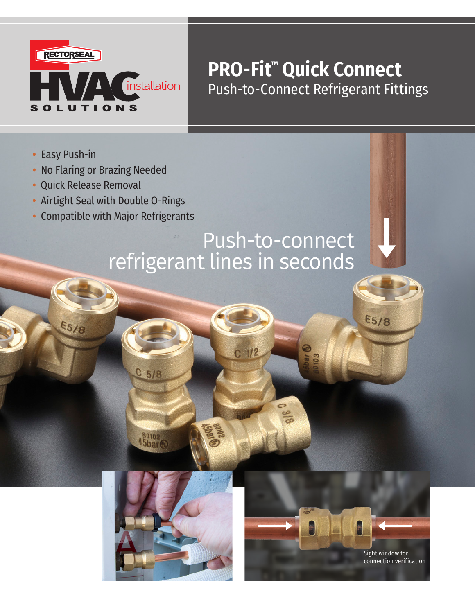

## **PRO-Fit™ Quick Connect** Push-to-Connect Refrigerant Fittings

- **•** Easy Push-in
- **•** No Flaring or Brazing Needed
- Quick Release Removal

**E5/8** 

- **•** Airtight Seal with Double O-Rings
- **•** Compatible with Major Refrigerants

# Push-to-connect refrigerant lines in seconds

C 1/2



 $C$  5/8

45bar<sup>@</sup>



**E5/8**